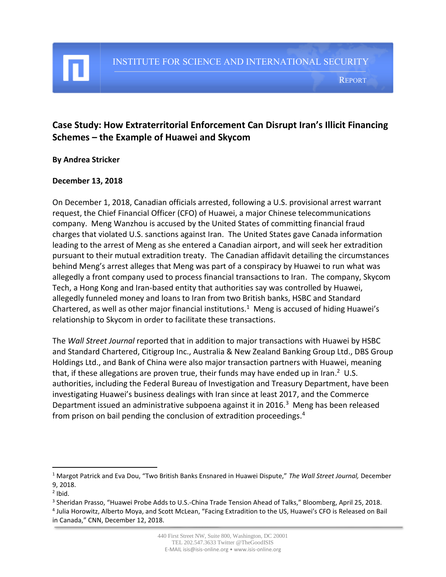#### REPORT

# **Case Study: How Extraterritorial Enforcement Can Disrupt Iran's Illicit Financing Schemes – the Example of Huawei and Skycom**

### **By Andrea Stricker**

### **December 13, 2018**

On December 1, 2018, Canadian officials arrested, following a U.S. provisional arrest warrant request, the Chief Financial Officer (CFO) of Huawei, a major Chinese telecommunications company. Meng Wanzhou is accused by the United States of committing financial fraud charges that violated U.S. sanctions against Iran. The United States gave Canada information leading to the arrest of Meng as she entered a Canadian airport, and will seek her extradition pursuant to their mutual extradition treaty. The Canadian affidavit detailing the circumstances behind Meng's arrest alleges that Meng was part of a conspiracy by Huawei to run what was allegedly a front company used to process financial transactions to Iran. The company, Skycom Tech, a Hong Kong and Iran-based entity that authorities say was controlled by Huawei, allegedly funneled money and loans to Iran from two British banks, HSBC and Standard Chartered, as well as other major financial institutions.<sup>1</sup> Meng is accused of hiding Huawei's relationship to Skycom in order to facilitate these transactions.

The *Wall Street Journal* reported that in addition to major transactions with Huawei by HSBC and Standard Chartered, Citigroup Inc., Australia & New Zealand Banking Group Ltd., DBS Group Holdings Ltd., and Bank of China were also major transaction partners with Huawei, meaning that, if these allegations are proven true, their funds may have ended up in Iran.<sup>2</sup> U.S. authorities, including the Federal Bureau of Investigation and Treasury Department, have been investigating Huawei's business dealings with Iran since at least 2017, and the Commerce Department issued an administrative subpoena against it in 2016.<sup>3</sup> Meng has been released from prison on bail pending the conclusion of extradition proceedings.<sup>4</sup>

l

<sup>1</sup> Margot Patrick and Eva Dou, "Two British Banks Ensnared in Huawei Dispute," *The Wall Street Journal,* December 9, 2018.

 $<sup>2</sup>$  Ibid.</sup>

<sup>3</sup> Sheridan Prasso, "Huawei Probe Adds to U.S.-China Trade Tension Ahead of Talks," Bloomberg, April 25, 2018. 4 Julia Horowitz, Alberto Moya, and Scott McLean, "Facing Extradition to the US, Huawei's CFO is Released on Bail in Canada," CNN, December 12, 2018.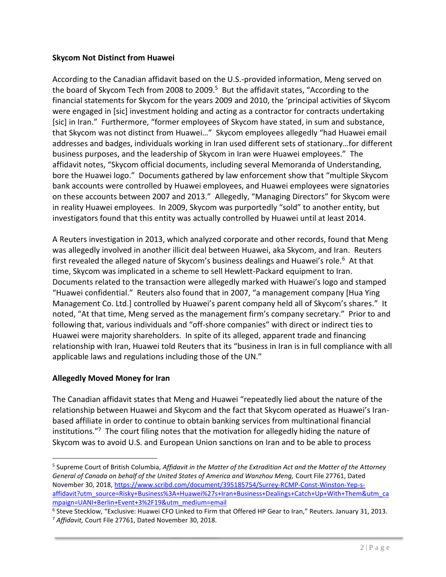# **Skycom Not Distinct from Huawei**

According to the Canadian affidavit based on the U.S.-provided information, Meng served on the board of Skycom Tech from 2008 to 2009.<sup>5</sup> But the affidavit states, "According to the financial statements for Skycom for the years 2009 and 2010, the 'principal activities of Skycom were engaged in [sic] investment holding and acting as a contractor for contracts undertaking [sic] in Iran." Furthermore, "former employees of Skycom have stated, in sum and substance, that Skycom was not distinct from Huawei…" Skycom employees allegedly "had Huawei email addresses and badges, individuals working in Iran used different sets of stationary…for different business purposes, and the leadership of Skycom in Iran were Huawei employees." The affidavit notes, "Skycom official documents, including several Memoranda of Understanding, bore the Huawei logo." Documents gathered by law enforcement show that "multiple Skycom bank accounts were controlled by Huawei employees, and Huawei employees were signatories on these accounts between 2007 and 2013." Allegedly, "Managing Directors" for Skycom were in reality Huawei employees. In 2009, Skycom was purportedly "sold" to another entity, but investigators found that this entity was actually controlled by Huawei until at least 2014.

A Reuters investigation in 2013, which analyzed corporate and other records, found that Meng was allegedly involved in another illicit deal between Huawei, aka Skycom, and Iran. Reuters first revealed the alleged nature of Skycom's business dealings and Huawei's role.<sup>6</sup> At that time, Skycom was implicated in a scheme to sell Hewlett-Packard equipment to Iran. Documents related to the transaction were allegedly marked with Huawei's logo and stamped "Huawei confidential." Reuters also found that in 2007, "a management company [Hua Ying Management Co. Ltd.] controlled by Huawei's parent company held all of Skycom's shares." It noted, "At that time, Meng served as the management firm's company secretary." Prior to and following that, various individuals and "off-shore companies" with direct or indirect ties to Huawei were majority shareholders. In spite of its alleged, apparent trade and financing relationship with Iran, Huawei told Reuters that its "business in Iran is in full compliance with all applicable laws and regulations including those of the UN."

# **Allegedly Moved Money for Iran**

 $\overline{\phantom{a}}$ 

The Canadian affidavit states that Meng and Huawei "repeatedly lied about the nature of the relationship between Huawei and Skycom and the fact that Skycom operated as Huawei's Iranbased affiliate in order to continue to obtain banking services from multinational financial institutions."<sup>7</sup> The court filing notes that the motivation for allegedly hiding the nature of Skycom was to avoid U.S. and European Union sanctions on Iran and to be able to process

<sup>5</sup> Supreme Court of British Columbia, *Affidavit in the Matter of the Extradition Act and the Matter of the Attorney General of Canada on behalf of the United States of America and Wanzhou Meng,* Court File 27761, Dated November 30, 2018, [https://www.scribd.com/document/395185754/Surrey-RCMP-Const-Winston-Yep-s](https://www.scribd.com/document/395185754/Surrey-RCMP-Const-Winston-Yep-s-affidavit?utm_source=Risky+Business%3A+Huawei%27s+Iran+Business+Dealings+Catch+Up+With+Them&utm_campaign=UANI+Berlin+Event+3%2F19&utm_medium=email)[affidavit?utm\\_source=Risky+Business%3A+Huawei%27s+Iran+Business+Dealings+Catch+Up+With+Them&utm\\_ca](https://www.scribd.com/document/395185754/Surrey-RCMP-Const-Winston-Yep-s-affidavit?utm_source=Risky+Business%3A+Huawei%27s+Iran+Business+Dealings+Catch+Up+With+Them&utm_campaign=UANI+Berlin+Event+3%2F19&utm_medium=email) [mpaign=UANI+Berlin+Event+3%2F19&utm\\_medium=email](https://www.scribd.com/document/395185754/Surrey-RCMP-Const-Winston-Yep-s-affidavit?utm_source=Risky+Business%3A+Huawei%27s+Iran+Business+Dealings+Catch+Up+With+Them&utm_campaign=UANI+Berlin+Event+3%2F19&utm_medium=email)

<sup>6</sup> Steve Stecklow, "Exclusive: Huawei CFO Linked to Firm that Offered HP Gear to Iran," Reuters. January 31, 2013.

<sup>7</sup> *Affidavit,* Court File 27761, Dated November 30, 2018.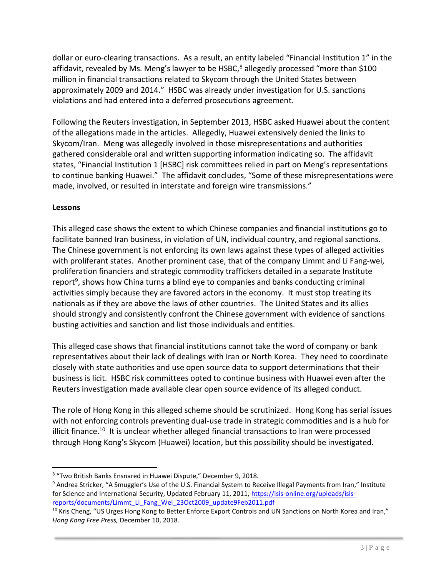dollar or euro-clearing transactions. As a result, an entity labeled "Financial Institution 1" in the affidavit, revealed by Ms. Meng's lawyer to be HSBC, $8$  allegedly processed "more than \$100 million in financial transactions related to Skycom through the United States between approximately 2009 and 2014." HSBC was already under investigation for U.S. sanctions violations and had entered into a deferred prosecutions agreement.

Following the Reuters investigation, in September 2013, HSBC asked Huawei about the content of the allegations made in the articles. Allegedly, Huawei extensively denied the links to Skycom/Iran. Meng was allegedly involved in those misrepresentations and authorities gathered considerable oral and written supporting information indicating so. The affidavit states, "Financial Institution 1 [HSBC] risk committees relied in part on Meng's representations to continue banking Huawei." The affidavit concludes, "Some of these misrepresentations were made, involved, or resulted in interstate and foreign wire transmissions."

# **Lessons**

This alleged case shows the extent to which Chinese companies and financial institutions go to facilitate banned Iran business, in violation of UN, individual country, and regional sanctions. The Chinese government is not enforcing its own laws against these types of alleged activities with proliferant states. Another prominent case, that of the company Limmt and Li Fang-wei, proliferation financiers and strategic commodity traffickers detailed in a separate Institute report<sup>9</sup>, shows how China turns a blind eye to companies and banks conducting criminal activities simply because they are favored actors in the economy. It must stop treating its nationals as if they are above the laws of other countries. The United States and its allies should strongly and consistently confront the Chinese government with evidence of sanctions busting activities and sanction and list those individuals and entities.

This alleged case shows that financial institutions cannot take the word of company or bank representatives about their lack of dealings with Iran or North Korea. They need to coordinate closely with state authorities and use open source data to support determinations that their business is licit. HSBC risk committees opted to continue business with Huawei even after the Reuters investigation made available clear open source evidence of its alleged conduct.

The role of Hong Kong in this alleged scheme should be scrutinized. Hong Kong has serial issues with not enforcing controls preventing dual-use trade in strategic commodities and is a hub for illicit finance.<sup>10</sup> It is unclear whether alleged financial transactions to Iran were processed through Hong Kong's Skycom (Huawei) location, but this possibility should be investigated.

l 8 "Two British Banks Ensnared in Huawei Dispute," December 9, 2018.

<sup>9</sup> Andrea Stricker, "A Smuggler's Use of the U.S. Financial System to Receive Illegal Payments from Iran," Institute for Science and International Security, Updated February 11, 2011, [https://isis-online.org/uploads/isis](https://isis-online.org/uploads/isis-reports/documents/Limmt_Li_Fang_Wei_23Oct2009_update9Feb2011.pdf)[reports/documents/Limmt\\_Li\\_Fang\\_Wei\\_23Oct2009\\_update9Feb2011.pdf](https://isis-online.org/uploads/isis-reports/documents/Limmt_Li_Fang_Wei_23Oct2009_update9Feb2011.pdf)

 $10$  Kris Cheng, "US Urges Hong Kong to Better Enforce Export Controls and UN Sanctions on North Korea and Iran," *Hong Kong Free Press,* December 10, 2018.